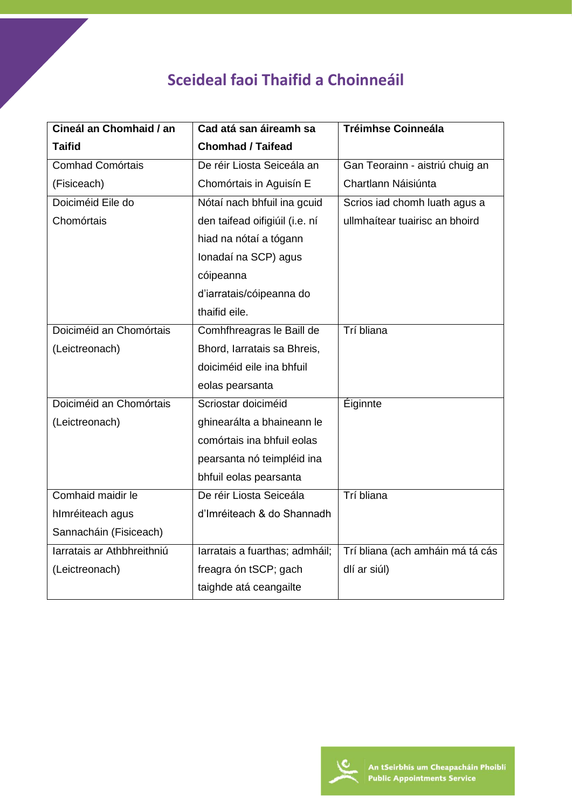## **Sceideal faoi Thaifid a Choinneáil**

| Cineál an Chomhaid / an    | Cad atá san áireamh sa         | <b>Tréimhse Coinneála</b>        |
|----------------------------|--------------------------------|----------------------------------|
| <b>Taifid</b>              | <b>Chomhad / Taifead</b>       |                                  |
| <b>Comhad Comórtais</b>    | De réir Liosta Seiceála an     | Gan Teorainn - aistriú chuig an  |
| (Fisiceach)                | Chomórtais in Aguisín E        | Chartlann Náisiúnta              |
| Doiciméid Eile do          | Nótaí nach bhfuil ina gcuid    | Scrios iad chomh luath agus a    |
| Chomórtais                 | den taifead oifigiúil (i.e. ní | ullmhaítear tuairisc an bhoird   |
|                            | hiad na nótaí a tógann         |                                  |
|                            | Ionadaí na SCP) agus           |                                  |
|                            | cóipeanna                      |                                  |
|                            | d'iarratais/cóipeanna do       |                                  |
|                            | thaifid eile.                  |                                  |
| Doiciméid an Chomórtais    | Comhfhreagras le Baill de      | Trí bliana                       |
| (Leictreonach)             | Bhord, Iarratais sa Bhreis,    |                                  |
|                            | doiciméid eile ina bhfuil      |                                  |
|                            | eolas pearsanta                |                                  |
| Doiciméid an Chomórtais    | Scriostar doiciméid            | Éiginnte                         |
| (Leictreonach)             | ghinearálta a bhaineann le     |                                  |
|                            | comórtais ina bhfuil eolas     |                                  |
|                            | pearsanta nó teimpléid ina     |                                  |
|                            | bhfuil eolas pearsanta         |                                  |
| Comhaid maidir le          | De réir Liosta Seiceála        | Trí bliana                       |
| hImréiteach agus           | d'Imréiteach & do Shannadh     |                                  |
| Sannacháin (Fisiceach)     |                                |                                  |
| Iarratais ar Athbhreithniú | larratais a fuarthas; admháil; | Trí bliana (ach amháin má tá cás |
| (Leictreonach)             | freagra ón tSCP; gach          | dlí ar siúl)                     |
|                            | taighde atá ceangailte         |                                  |

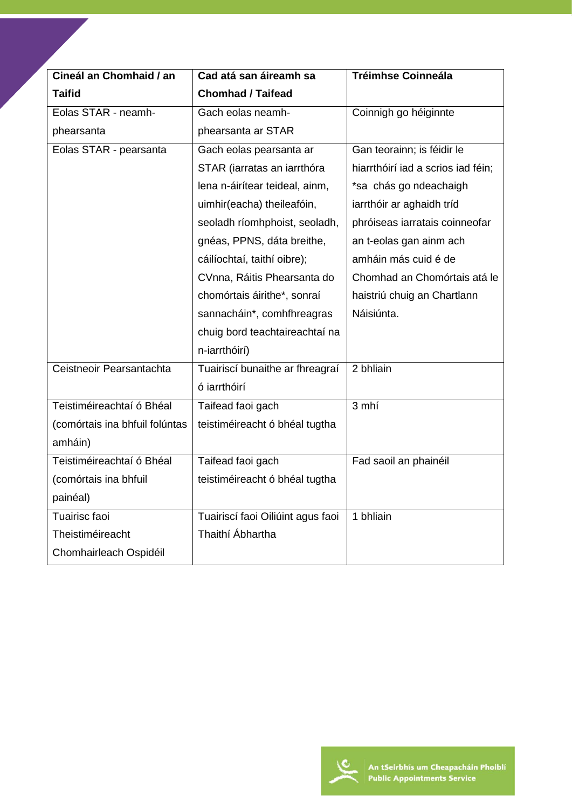| Cineál an Chomhaid / an        | Cad atá san áireamh sa            | <b>Tréimhse Coinneála</b>          |
|--------------------------------|-----------------------------------|------------------------------------|
| <b>Taifid</b>                  | <b>Chomhad / Taifead</b>          |                                    |
| Eolas STAR - neamh-            | Gach eolas neamh-                 | Coinnigh go héiginnte              |
| phearsanta                     | phearsanta ar STAR                |                                    |
| Eolas STAR - pearsanta         | Gach eolas pearsanta ar           | Gan teorainn; is féidir le         |
|                                | STAR (iarratas an iarrthóra       | hiarrthóirí iad a scrios iad féin; |
|                                | lena n-áirítear teideal, ainm,    | *sa chás go ndeachaigh             |
|                                | uimhir(eacha) theileafóin,        | iarrthóir ar aghaidh tríd          |
|                                | seoladh ríomhphoist, seoladh,     | phróiseas iarratais coinneofar     |
|                                | gnéas, PPNS, dáta breithe,        | an t-eolas gan ainm ach            |
|                                | cáilíochtaí, taithí oibre);       | amháin más cuid é de               |
|                                | CVnna, Ráitis Phearsanta do       | Chomhad an Chomórtais atá le       |
|                                | chomórtais áirithe*, sonraí       | haistriú chuig an Chartlann        |
|                                | sannacháin*, comhfhreagras        | Náisiúnta.                         |
|                                | chuig bord teachtaireachtaí na    |                                    |
|                                | n-iarrthóirí)                     |                                    |
| Ceistneoir Pearsantachta       | Tuairiscí bunaithe ar fhreagraí   | 2 bhliain                          |
|                                | ó jarrthóirí                      |                                    |
| Teistiméireachtaí ó Bhéal      | Taifead faoi gach                 | 3 mhí                              |
| (comórtais ina bhfuil folúntas | teistiméireacht ó bhéal tugtha    |                                    |
| amháin)                        |                                   |                                    |
| Teistiméireachtaí ó Bhéal      | Taifead faoi gach                 | Fad saoil an phainéil              |
| (comórtais ina bhfuil          | teistiméireacht ó bhéal tugtha    |                                    |
| painéal)                       |                                   |                                    |
| Tuairisc faoi                  | Tuairiscí faoi Oiliúint agus faoi | 1 bhliain                          |
| Theistiméireacht               | Thaithí Ábhartha                  |                                    |
| Chomhairleach Ospidéil         |                                   |                                    |

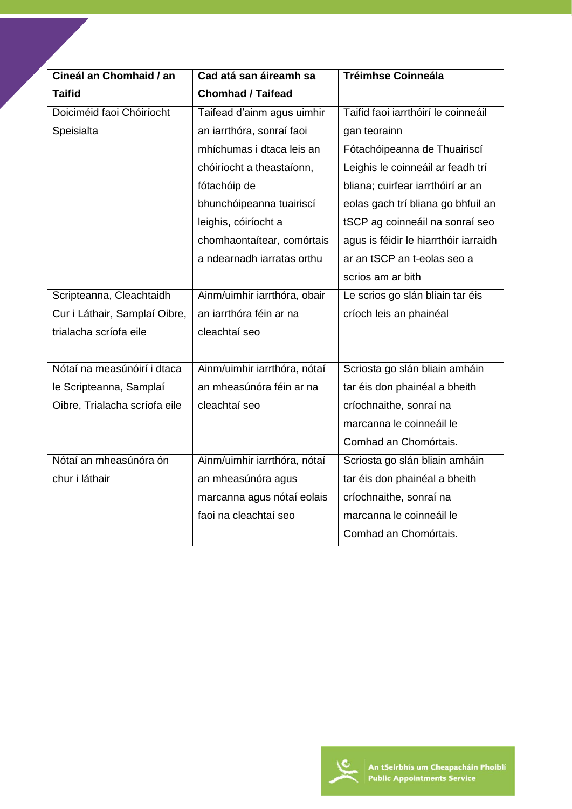| Cineál an Chomhaid / an       | Cad atá san áireamh sa       | <b>Tréimhse Coinneála</b>             |
|-------------------------------|------------------------------|---------------------------------------|
| <b>Taifid</b>                 | <b>Chomhad / Taifead</b>     |                                       |
| Doiciméid faoi Chóiríocht     | Taifead d'ainm agus uimhir   | Taifid faoi iarrthóirí le coinneáil   |
| Speisialta                    | an iarrthóra, sonraí faoi    | gan teorainn                          |
|                               | mhíchumas i dtaca leis an    | Fótachóipeanna de Thuairiscí          |
|                               | chóiríocht a theastaíonn,    | Leighis le coinneáil ar feadh trí     |
|                               | fótachóip de                 | bliana; cuirfear iarrthóirí ar an     |
|                               | bhunchóipeanna tuairiscí     | eolas gach trí bliana go bhfuil an    |
|                               | leighis, cóiríocht a         | tSCP ag coinneáil na sonraí seo       |
|                               | chomhaontaítear, comórtais   | agus is féidir le hiarrthóir iarraidh |
|                               | a ndearnadh iarratas orthu   | ar an tSCP an t-eolas seo a           |
|                               |                              | scrios am ar bith                     |
| Scripteanna, Cleachtaidh      | Ainm/uimhir iarrthóra, obair | Le scrios go slán bliain tar éis      |
| Cur i Láthair, Samplaí Oibre, | an iarrthóra féin ar na      | críoch leis an phainéal               |
| trialacha scríofa eile        | cleachtaí seo                |                                       |
|                               |                              |                                       |
| Nótaí na measúnóirí i dtaca   | Ainm/uimhir iarrthóra, nótaí | Scriosta go slán bliain amháin        |
| le Scripteanna, Samplaí       | an mheasúnóra féin ar na     | tar éis don phainéal a bheith         |
| Oibre, Trialacha scríofa eile | cleachtaí seo                | críochnaithe, sonraí na               |
|                               |                              | marcanna le coinneáil le              |
|                               |                              | Comhad an Chomórtais.                 |
| Nótaí an mheasúnóra ón        | Ainm/uimhir iarrthóra, nótaí | Scriosta go slán bliain amháin        |
| chur i láthair                | an mheasúnóra agus           | tar éis don phainéal a bheith         |
|                               | marcanna agus nótaí eolais   | críochnaithe, sonraí na               |
|                               | faoi na cleachtaí seo        | marcanna le coinneáil le              |
|                               |                              | Comhad an Chomórtais.                 |

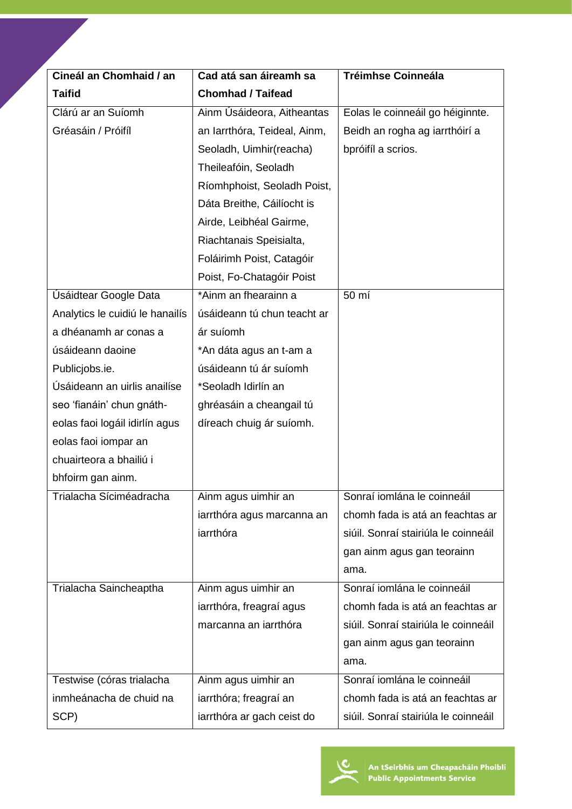| Cineál an Chomhaid / an         | Cad atá san áireamh sa       | <b>Tréimhse Coinneála</b>            |
|---------------------------------|------------------------------|--------------------------------------|
| <b>Taifid</b>                   | <b>Chomhad / Taifead</b>     |                                      |
| Clárú ar an Suíomh              | Ainm Úsáideora, Aitheantas   | Eolas le coinneáil go héiginnte.     |
| Gréasáin / Próifíl              | an Iarrthóra, Teideal, Ainm, | Beidh an rogha ag iarrthóirí a       |
|                                 | Seoladh, Uimhir(reacha)      | bpróifíl a scrios.                   |
|                                 | Theileafóin, Seoladh         |                                      |
|                                 | Ríomhphoist, Seoladh Poist,  |                                      |
|                                 | Dáta Breithe, Cáilíocht is   |                                      |
|                                 | Airde, Leibhéal Gairme,      |                                      |
|                                 | Riachtanais Speisialta,      |                                      |
|                                 | Foláirimh Poist, Catagóir    |                                      |
|                                 | Poist, Fo-Chatagóir Poist    |                                      |
| Úsáidtear Google Data           | *Ainm an fhearainn a         | 50 mí                                |
| Analytics le cuidiú le hanailís | úsáideann tú chun teacht ar  |                                      |
| a dhéanamh ar conas a           | ár suíomh                    |                                      |
| úsáideann daoine                | *An dáta agus an t-am a      |                                      |
| Publicjobs.ie.                  | úsáideann tú ár suíomh       |                                      |
| Úsáideann an uirlis anailíse    | *Seoladh Idirlín an          |                                      |
| seo 'fianáin' chun gnáth-       | ghréasáin a cheangail tú     |                                      |
| eolas faoi logáil idirlín agus  | díreach chuig ár suíomh.     |                                      |
| eolas faoi iompar an            |                              |                                      |
| chuairteora a bhailiú i         |                              |                                      |
| bhfoirm gan ainm.               |                              |                                      |
| Trialacha Síciméadracha         | Ainm agus uimhir an          | Sonraí iomlána le coinneáil          |
|                                 | iarrthóra agus marcanna an   | chomh fada is atá an feachtas ar     |
|                                 | iarrthóra                    | siúil. Sonraí stairiúla le coinneáil |
|                                 |                              | gan ainm agus gan teorainn           |
|                                 |                              | ama.                                 |
| Trialacha Saincheaptha          | Ainm agus uimhir an          | Sonraí iomlána le coinneáil          |
|                                 | iarrthóra, freagraí agus     | chomh fada is atá an feachtas ar     |
|                                 | marcanna an iarrthóra        | siúil. Sonraí stairiúla le coinneáil |
|                                 |                              | gan ainm agus gan teorainn           |
|                                 |                              | ama.                                 |
| Testwise (córas trialacha       | Ainm agus uimhir an          | Sonraí iomlána le coinneáil          |
| inmheánacha de chuid na         | iarrthóra; freagraí an       | chomh fada is atá an feachtas ar     |
| SCP)                            | iarrthóra ar gach ceist do   | siúil. Sonraí stairiúla le coinneáil |

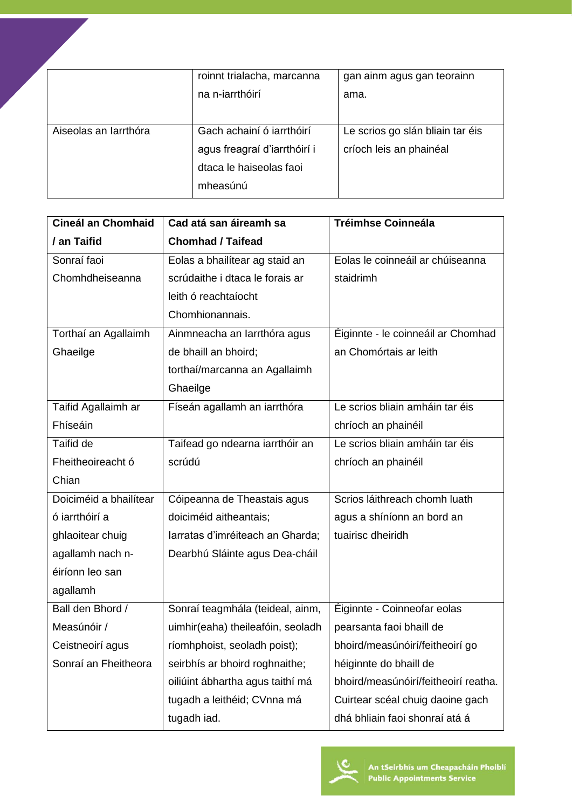|                       | roinnt trialacha, marcanna<br>na n-iarrthóirí                                                    | gan ainm agus gan teorainn<br>ama.                          |
|-----------------------|--------------------------------------------------------------------------------------------------|-------------------------------------------------------------|
| Aiseolas an Iarrthóra | Gach achainí ó jarrthóirí<br>agus freagraí d'iarrthóirí i<br>dtaca le haiseolas faoi<br>mheasúnú | Le scrios go slán bliain tar éis<br>críoch leis an phainéal |

| <b>Cineál an Chomhaid</b> | Cad atá san áireamh sa            | <b>Tréimhse Coinneála</b>            |
|---------------------------|-----------------------------------|--------------------------------------|
| / an Taifid               | <b>Chomhad / Taifead</b>          |                                      |
| Sonraí faoi               | Eolas a bhailítear ag staid an    | Eolas le coinneáil ar chúiseanna     |
| Chomhdheiseanna           | scrúdaithe i dtaca le forais ar   | staidrimh                            |
|                           | leith ó reachtaíocht              |                                      |
|                           | Chomhionannais.                   |                                      |
| Torthaí an Agallaimh      | Ainmneacha an Iarrthóra agus      | Éiginnte - le coinneáil ar Chomhad   |
| Ghaeilge                  | de bhaill an bhoird;              | an Chomórtais ar leith               |
|                           | torthaí/marcanna an Agallaimh     |                                      |
|                           | Ghaeilge                          |                                      |
| Taifid Agallaimh ar       | Físeán agallamh an iarrthóra      | Le scrios bliain amháin tar éis      |
| Fhíseáin                  |                                   | chríoch an phainéil                  |
| Taifid de                 | Taifead go ndearna iarrthóir an   | Le scrios bliain amháin tar éis      |
| Fheitheoireacht ó         | scrúdú                            | chríoch an phainéil                  |
| Chian                     |                                   |                                      |
| Doiciméid a bhailítear    | Cóipeanna de Theastais agus       | Scrios láithreach chomh luath        |
| ó iarrthóirí a            | doiciméid aitheantais;            | agus a shíníonn an bord an           |
| ghlaoitear chuig          | larratas d'imréiteach an Gharda;  | tuairisc dheiridh                    |
| agallamh nach n-          | Dearbhú Sláinte agus Dea-cháil    |                                      |
| éiríonn leo san           |                                   |                                      |
| agallamh                  |                                   |                                      |
| Ball den Bhord /          | Sonraí teagmhála (teideal, ainm,  | Éiginnte - Coinneofar eolas          |
| Measúnóir /               | uimhir(eaha) theileafóin, seoladh | pearsanta faoi bhaill de             |
| Ceistneoirí agus          | ríomhphoist, seoladh poist);      | bhoird/measúnóirí/feitheoirí go      |
| Sonraí an Fheitheora      | seirbhís ar bhoird roghnaithe;    | héiginnte do bhaill de               |
|                           | oiliúint ábhartha agus taithí má  | bhoird/measúnóirí/feitheoirí reatha. |
|                           | tugadh a leithéid; CVnna má       | Cuirtear scéal chuig daoine gach     |
|                           | tugadh iad.                       | dhá bhliain faoi shonraí atá á       |

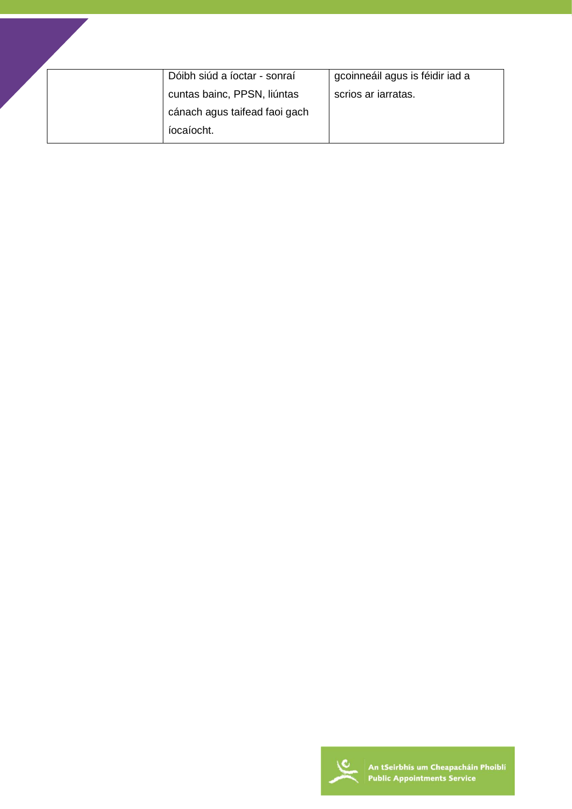|  | Dóibh siúd a íoctar - sonraí  | gcoinneáil agus is féidir iad a |
|--|-------------------------------|---------------------------------|
|  | cuntas bainc, PPSN, liúntas   | scrios ar iarratas.             |
|  | cánach agus taifead faoi gach |                                 |
|  | íocaíocht.                    |                                 |

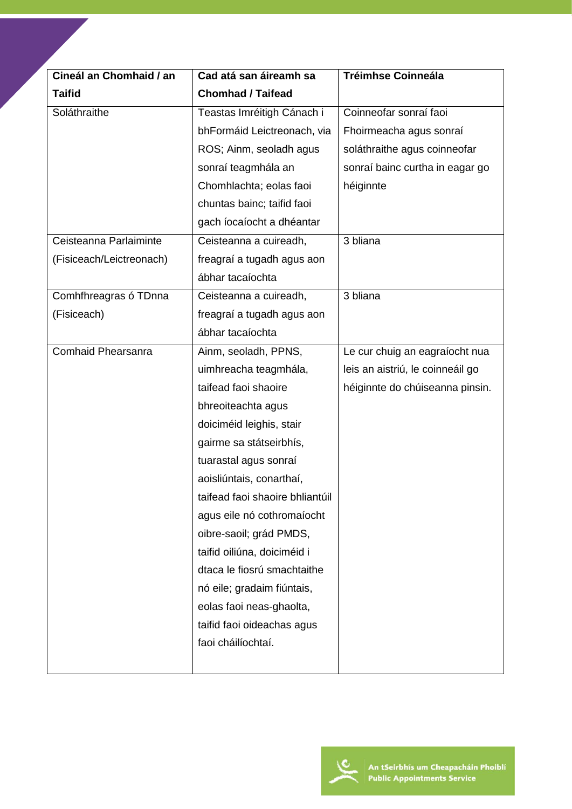| Cineál an Chomhaid / an  | Cad atá san áireamh sa          | <b>Tréimhse Coinneála</b>        |
|--------------------------|---------------------------------|----------------------------------|
| <b>Taifid</b>            | <b>Chomhad / Taifead</b>        |                                  |
| Soláthraithe             | Teastas Imréitigh Cánach i      | Coinneofar sonraí faoi           |
|                          | bhFormáid Leictreonach, via     | Fhoirmeacha agus sonraí          |
|                          | ROS; Ainm, seoladh agus         | soláthraithe agus coinneofar     |
|                          | sonraí teagmhála an             | sonraí bainc curtha in eagar go  |
|                          | Chomhlachta; eolas faoi         | héiginnte                        |
|                          | chuntas bainc; taifid faoi      |                                  |
|                          | gach íocaíocht a dhéantar       |                                  |
| Ceisteanna Parlaiminte   | Ceisteanna a cuireadh,          | 3 bliana                         |
| (Fisiceach/Leictreonach) | freagraí a tugadh agus aon      |                                  |
|                          | ábhar tacaíochta                |                                  |
| Comhfhreagras ó TDnna    | Ceisteanna a cuireadh,          | 3 bliana                         |
| (Fisiceach)              | freagraí a tugadh agus aon      |                                  |
|                          | ábhar tacaíochta                |                                  |
| Comhaid Phearsanra       | Ainm, seoladh, PPNS,            | Le cur chuig an eagraíocht nua   |
|                          | uimhreacha teagmhála,           | leis an aistriú, le coinneáil go |
|                          | taifead faoi shaoire            | héiginnte do chúiseanna pinsin.  |
|                          | bhreoiteachta agus              |                                  |
|                          | doiciméid leighis, stair        |                                  |
|                          | gairme sa státseirbhís,         |                                  |
|                          | tuarastal agus sonraí           |                                  |
|                          | aoisliúntais, conarthaí,        |                                  |
|                          | taifead faoi shaoire bhliantúil |                                  |
|                          | agus eile nó cothromaíocht      |                                  |
|                          | oibre-saoil; grád PMDS,         |                                  |
|                          | taifid oiliúna, doiciméid i     |                                  |
|                          | dtaca le fiosrú smachtaithe     |                                  |
|                          | nó eile; gradaim fiúntais,      |                                  |
|                          | eolas faoi neas-ghaolta,        |                                  |
|                          | taifid faoi oideachas agus      |                                  |
|                          | faoi cháilíochtaí.              |                                  |
|                          |                                 |                                  |

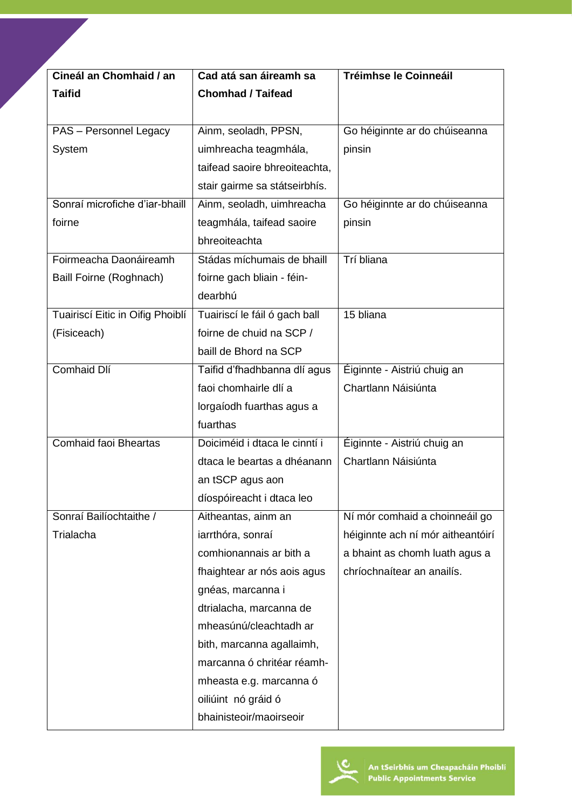| Cineál an Chomhaid / an          | Cad atá san áireamh sa        | Tréimhse le Coinneáil             |
|----------------------------------|-------------------------------|-----------------------------------|
| <b>Taifid</b>                    | <b>Chomhad / Taifead</b>      |                                   |
|                                  |                               |                                   |
| PAS - Personnel Legacy           | Ainm, seoladh, PPSN,          | Go héiginnte ar do chúiseanna     |
| System                           | uimhreacha teagmhála,         | pinsin                            |
|                                  | taifead saoire bhreoiteachta, |                                   |
|                                  | stair gairme sa státseirbhís. |                                   |
| Sonraí microfiche d'iar-bhaill   | Ainm, seoladh, uimhreacha     | Go héiginnte ar do chúiseanna     |
| foirne                           | teagmhála, taifead saoire     | pinsin                            |
|                                  | bhreoiteachta                 |                                   |
| Foirmeacha Daonáireamh           | Stádas míchumais de bhaill    | Trí bliana                        |
| Baill Foirne (Roghnach)          | foirne gach bliain - féin-    |                                   |
|                                  | dearbhú                       |                                   |
| Tuairiscí Eitic in Oifig Phoiblí | Tuairiscí le fáil ó gach ball | 15 bliana                         |
| (Fisiceach)                      | foirne de chuid na SCP /      |                                   |
|                                  | baill de Bhord na SCP         |                                   |
| Comhaid Dlí                      | Taifid d'fhadhbanna dlí agus  | Éiginnte - Aistriú chuig an       |
|                                  | faoi chomhairle dlí a         | Chartlann Náisiúnta               |
|                                  | lorgaíodh fuarthas agus a     |                                   |
|                                  | fuarthas                      |                                   |
| <b>Comhaid faoi Bheartas</b>     | Doiciméid i dtaca le cinntí i | Éiginnte - Aistriú chuig an       |
|                                  | dtaca le beartas a dhéanann   | Chartlann Náisiúnta               |
|                                  | an tSCP agus aon              |                                   |
|                                  | díospóireacht i dtaca leo     |                                   |
| Sonraí Bailíochtaithe /          | Aitheantas, ainm an           | Ní mór comhaid a choinneáil go    |
| Trialacha                        | iarrthóra, sonraí             | héiginnte ach ní mór aitheantóirí |
|                                  | comhionannais ar bith a       | a bhaint as chomh luath agus a    |
|                                  | fhaightear ar nós aois agus   | chríochnaítear an anailís.        |
|                                  | gnéas, marcanna i             |                                   |
|                                  | dtrialacha, marcanna de       |                                   |
|                                  | mheasúnú/cleachtadh ar        |                                   |
|                                  | bith, marcanna agallaimh,     |                                   |
|                                  | marcanna ó chritéar réamh-    |                                   |
|                                  | mheasta e.g. marcanna ó       |                                   |
|                                  | oiliúint nó gráid ó           |                                   |
|                                  | bhainisteoir/maoirseoir       |                                   |

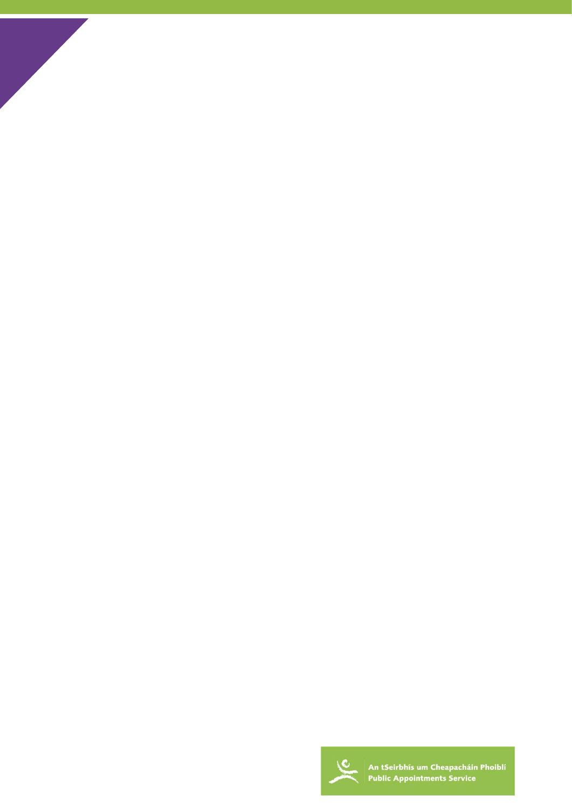

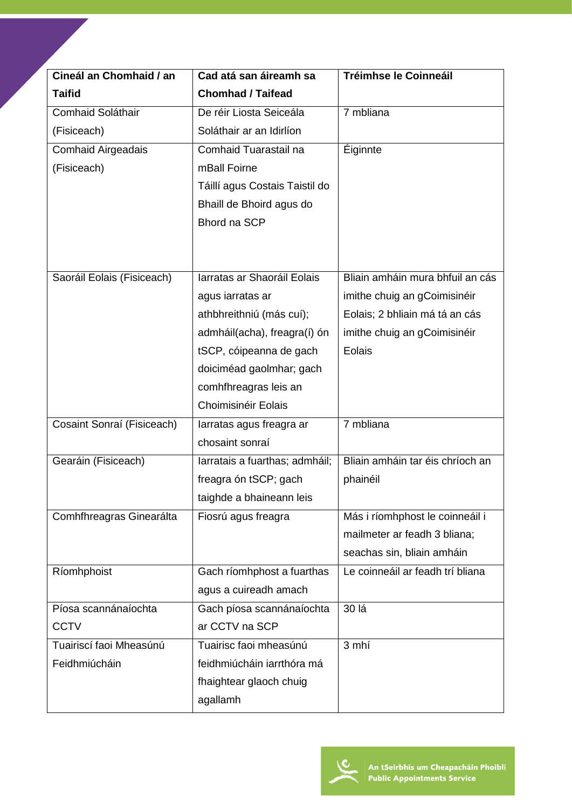| Cineál an Chomhaid / an    | Cad atá san áireamh sa         | <b>Tréimhse le Coinneáil</b>     |
|----------------------------|--------------------------------|----------------------------------|
| <b>Taifid</b>              | <b>Chomhad / Taifead</b>       |                                  |
| Comhaid Soláthair          | De réir Liosta Seiceála        | 7 mbliana                        |
| (Fisiceach)                | Soláthair ar an Idirlíon       |                                  |
| <b>Comhaid Airgeadais</b>  | Comhaid Tuarastail na          | <b>Éiginnte</b>                  |
| (Fisiceach)                | mBall Foirne                   |                                  |
|                            | Táillí agus Costais Taistil do |                                  |
|                            | Bhaill de Bhoird agus do       |                                  |
|                            | Bhord na SCP                   |                                  |
|                            |                                |                                  |
|                            |                                |                                  |
| Saoráil Eolais (Fisiceach) | Iarratas ar Shaoráil Eolais    | Bliain amháin mura bhfuil an cás |
|                            | agus iarratas ar               | imithe chuig an gCoimisinéir     |
|                            | athbhreithniú (más cuí);       | Eolais; 2 bhliain má tá an cás   |
|                            | admháil(acha), freagra(í) ón   | imithe chuig an gCoimisinéir     |
|                            | tSCP, cóipeanna de gach        | Eolais                           |
|                            | doiciméad gaolmhar; gach       |                                  |
|                            | comhfhreagras leis an          |                                  |
|                            | Choimisinéir Eolais            |                                  |
| Cosaint Sonraí (Fisiceach) | larratas agus freagra ar       | 7 mbliana                        |
|                            | chosaint sonraí                |                                  |
| Gearáin (Fisiceach)        | larratais a fuarthas; admháil; | Bliain amháin tar éis chríoch an |
|                            | freagra ón tSCP; gach          | phainéil                         |
|                            | taighde a bhaineann leis       |                                  |
| Comhfhreagras Ginearálta   | Fiosrú agus freagra            | Más i ríomhphost le coinneáil i  |
|                            |                                | mailmeter ar feadh 3 bliana;     |
|                            |                                | seachas sin, bliain amháin       |
| Ríomhphoist                | Gach ríomhphost a fuarthas     | Le coinneáil ar feadh trí bliana |
|                            | agus a cuireadh amach          |                                  |
| Píosa scannánaíochta       | Gach píosa scannánaíochta      | 30 lá                            |
| <b>CCTV</b>                | ar CCTV na SCP                 |                                  |
| Tuairiscí faoi Mheasúnú    | Tuairisc faoi mheasúnú         | 3 mhí                            |
| Feidhmiúcháin              | feidhmiúcháin iarrthóra má     |                                  |
|                            | fhaightear glaoch chuig        |                                  |
|                            | agallamh                       |                                  |

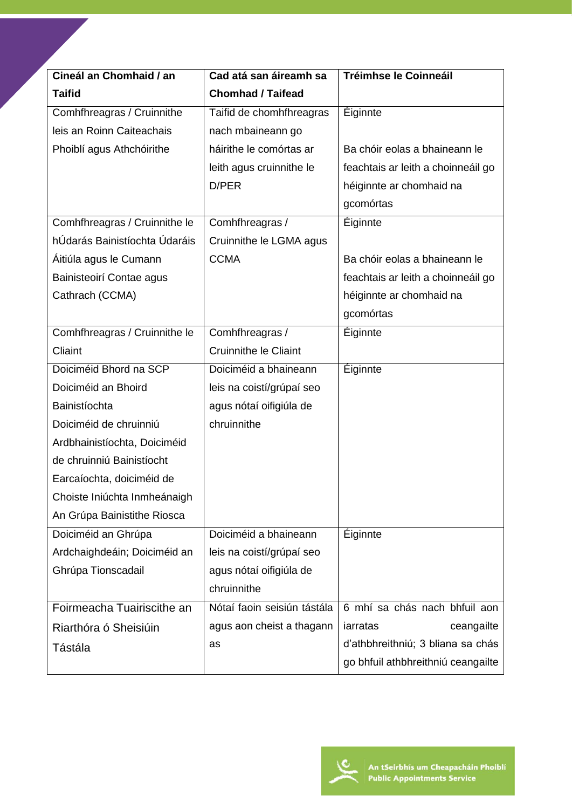| Cineál an Chomhaid / an       | Cad atá san áireamh sa       | Tréimhse le Coinneáil              |
|-------------------------------|------------------------------|------------------------------------|
| <b>Taifid</b>                 | <b>Chomhad / Taifead</b>     |                                    |
| Comhfhreagras / Cruinnithe    | Taifid de chomhfhreagras     | <b>Éiginnte</b>                    |
| leis an Roinn Caiteachais     | nach mbaineann go            |                                    |
| Phoiblí agus Athchóirithe     | háirithe le comórtas ar      | Ba chóir eolas a bhaineann le      |
|                               | leith agus cruinnithe le     | feachtais ar leith a choinneáil go |
|                               | D/PER                        | héiginnte ar chomhaid na           |
|                               |                              | gcomórtas                          |
| Comhfhreagras / Cruinnithe le | Comhfhreagras /              | <b>Éiginnte</b>                    |
| hÚdarás Bainistíochta Údaráis | Cruinnithe le LGMA agus      |                                    |
| Áitiúla agus le Cumann        | <b>CCMA</b>                  | Ba chóir eolas a bhaineann le      |
| Bainisteoirí Contae agus      |                              | feachtais ar leith a choinneáil go |
| Cathrach (CCMA)               |                              | héiginnte ar chomhaid na           |
|                               |                              | gcomórtas                          |
| Comhfhreagras / Cruinnithe le | Comhfhreagras /              | <b>Éiginnte</b>                    |
| Cliaint                       | <b>Cruinnithe le Cliaint</b> |                                    |
| Doiciméid Bhord na SCP        | Doiciméid a bhaineann        | Éiginnte                           |
| Doiciméid an Bhoird           | leis na coistí/grúpaí seo    |                                    |
| Bainistíochta                 | agus nótaí oifigiúla de      |                                    |
| Doiciméid de chruinniú        | chruinnithe                  |                                    |
| Ardbhainistíochta, Doiciméid  |                              |                                    |
| de chruinniú Bainistíocht     |                              |                                    |
| Earcaíochta, doiciméid de     |                              |                                    |
| Choiste Iniúchta Inmheánaigh  |                              |                                    |
| An Grúpa Bainistithe Riosca   |                              |                                    |
| Doiciméid an Ghrúpa           | Doiciméid a bhaineann        | <b>Éiginnte</b>                    |
| Ardchaighdeáin; Doiciméid an  | leis na coistí/grúpaí seo    |                                    |
| Ghrúpa Tionscadail            | agus nótaí oifigiúla de      |                                    |
|                               | chruinnithe                  |                                    |
| Foirmeacha Tuairiscithe an    | Nótaí faoin seisiún tástála  | 6 mhí sa chás nach bhfuil aon      |
| Riarthóra ó Sheisiúin         | agus aon cheist a thagann    | iarratas<br>ceangailte             |
| Tástála                       | as                           | d'athbhreithniú; 3 bliana sa chás  |
|                               |                              | go bhfuil athbhreithniú ceangailte |